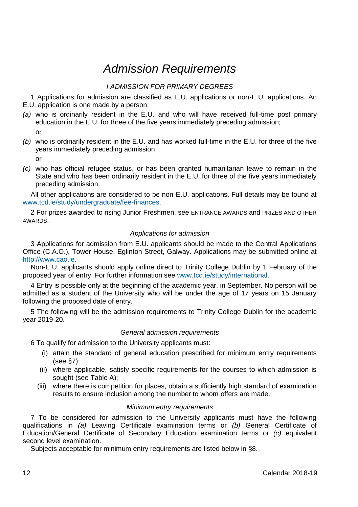# *Admission Requirements*

# *I ADMISSION FOR PRIMARY DEGREES*

1 Applications for admission are classified as E.U. applications or non-E.U. applications. An E.U. application is one made by a person:

- *(a)* who is ordinarily resident in the E.U. and who will have received full-time post primary education in the E.U. for three of the five years immediately preceding admission; or
- *(b)* who is ordinarily resident in the E.U. and has worked full-time in the E.U. for three of the five years immediately preceding admission;
	- or
- *(c)* who has official refugee status, or has been granted humanitarian leave to remain in the State and who has been ordinarily resident in the E.U. for three of the five years immediately preceding admission.

All other applications are considered to be non-E.U. applications. Full details may be found at [www.tcd.ie/study/undergraduate/fee-finances.](http://www.tcd.ie/study/undergraduate/fee-finances/index.php)

2 For prizes awarded to rising Junior Freshmen, see ENTRANCE AWARDS and PRIZES AND OTHER AWARDS.

# *Applications for admission*

3 Applications for admission from E.U. applicants should be made to the Central Applications Office (C.A.O.), Tower House, Eglinton Street, Galway. Applications may be submitted online at [http://www.cao.ie.](http://www.cao.ie/) 

Non-E.U. applicants should apply online direct to Trinity College Dublin by 1 February of the proposed year of entry. For further information see [www.tcd.ie/study/international.](http://www.tcd.ie/study/international) 

4 Entry is possible only at the beginning of the academic year, in September. No person will be admitted as a student of the University who will be under the age of 17 years on 15 January following the proposed date of entry.

5 The following will be the admission requirements to Trinity College Dublin for the academic year 2019-20.

# *General admission requirements*

6 To qualify for admission to the University applicants must:

- (i) attain the standard of general education prescribed for minimum entry requirements (see §7);
- (ii) where applicable, satisfy specific requirements for the courses to which admission is sought (see Table A);
- (iii) where there is competition for places, obtain a sufficiently high standard of examination results to ensure inclusion among the number to whom offers are made.

# *Minimum entry requirements*

7 To be considered for admission to the University applicants must have the following qualifications in *(a)* Leaving Certificate examination terms or *(b)* General Certificate of Education/General Certificate of Secondary Education examination terms or *(c)* equivalent second level examination.

Subjects acceptable for minimum entry requirements are listed below in §8.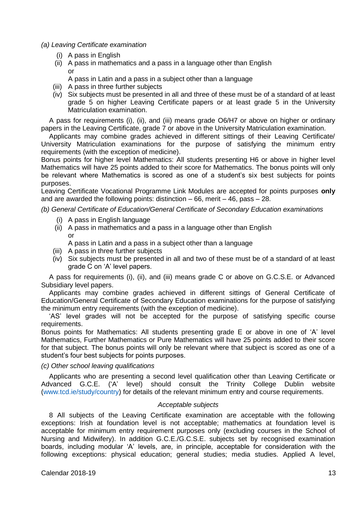- *(a) Leaving Certificate examination*
	- (i) A pass in English
	- (ii) A pass in mathematics and a pass in a language other than English or
		- A pass in Latin and a pass in a subject other than a language
	- (iii) A pass in three further subjects
	- (iv) Six subjects must be presented in all and three of these must be of a standard of at least grade 5 on higher Leaving Certificate papers or at least grade 5 in the University Matriculation examination.

A pass for requirements (i), (ii), and (iii) means grade O6/H7 or above on higher or ordinary papers in the Leaving Certificate, grade 7 or above in the University Matriculation examination.

Applicants may combine grades achieved in different sittings of their Leaving Certificate/ University Matriculation examinations for the purpose of satisfying the minimum entry requirements (with the exception of medicine).

Bonus points for higher level Mathematics: All students presenting H6 or above in higher level Mathematics will have 25 points added to their score for Mathematics. The bonus points will only be relevant where Mathematics is scored as one of a student's six best subjects for points purposes.

Leaving Certificate Vocational Programme Link Modules are accepted for points purposes **only** and are awarded the following points: distinction  $-66$ , merit  $-46$ , pass  $-28$ .

*(b) General Certificate of Education/General Certificate of Secondary Education examinations*

- (i) A pass in English language
- (ii) A pass in mathematics and a pass in a language other than English or
	- A pass in Latin and a pass in a subject other than a language
- (iii) A pass in three further subjects
- (iv) Six subjects must be presented in all and two of these must be of a standard of at least grade C on 'A' level papers.

A pass for requirements (i), (ii), and (iii) means grade C or above on G.C.S.E. or Advanced Subsidiary level papers.

Applicants may combine grades achieved in different sittings of General Certificate of Education/General Certificate of Secondary Education examinations for the purpose of satisfying the minimum entry requirements (with the exception of medicine).

'AS' level grades will not be accepted for the purpose of satisfying specific course requirements.

Bonus points for Mathematics: All students presenting grade E or above in one of 'A' level Mathematics, Further Mathematics or Pure Mathematics will have 25 points added to their score for that subject. The bonus points will only be relevant where that subject is scored as one of a student's four best subjects for points purposes.

#### *(c) Other school leaving qualifications*

Applicants who are presenting a second level qualification other than Leaving Certificate or Advanced G.C.E. ('A' level) should consult the Trinity College Dublin website [\(www.tcd.ie/study/country\)](http://www.tcd.ie/study/country) for details of the relevant minimum entry and course requirements.

# *Acceptable subjects*

8 All subjects of the Leaving Certificate examination are acceptable with the following exceptions: Irish at foundation level is not acceptable; mathematics at foundation level is acceptable for minimum entry requirement purposes only (excluding courses in the School of Nursing and Midwifery). In addition G.C.E./G.C.S.E. subjects set by recognised examination boards, including modular 'A' levels, are, in principle, acceptable for consideration with the following exceptions: physical education; general studies; media studies. Applied A level,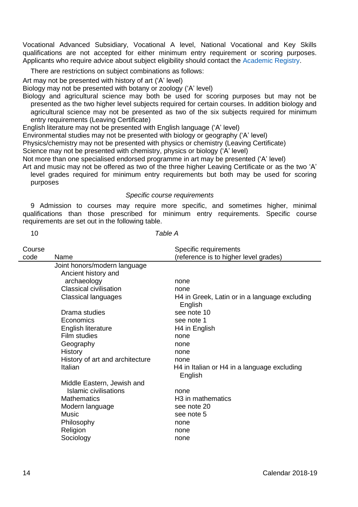Vocational Advanced Subsidiary, Vocational A level, National Vocational and Key Skills qualifications are not accepted for either minimum entry requirement or scoring purposes. Applicants who require advice about subject eligibility should contact th[e Academic Registry.](http://www.tcd.ie/academicregistry/contact/)

There are restrictions on subject combinations as follows:

Art may not be presented with history of art ('A' level)

Biology may not be presented with botany or zoology ('A' level)

Biology and agricultural science may both be used for scoring purposes but may not be presented as the two higher level subjects required for certain courses. In addition biology and agricultural science may not be presented as two of the six subjects required for minimum entry requirements (Leaving Certificate)

English literature may not be presented with English language ('A' level)

Environmental studies may not be presented with biology or geography ('A' level)

Physics/chemistry may not be presented with physics or chemistry (Leaving Certificate)

Science may not be presented with chemistry, physics or biology ('A' level)

Not more than one specialised endorsed programme in art may be presented ('A' level)

Art and music may not be offered as two of the three higher Leaving Certificate or as the two 'A'

level grades required for minimum entry requirements but both may be used for scoring purposes

# *Specific course requirements*

9 Admission to courses may require more specific, and sometimes higher, minimal qualifications than those prescribed for minimum entry requirements. Specific course requirements are set out in the following table.

#### 10 *Table A*

| Course |                                 | Specific requirements                                    |
|--------|---------------------------------|----------------------------------------------------------|
| code   | Name                            | (reference is to higher level grades)                    |
|        | Joint honors/modern language    |                                                          |
|        | Ancient history and             |                                                          |
|        | archaeology                     | none                                                     |
|        | Classical civilisation          | none                                                     |
|        | Classical languages             | H4 in Greek, Latin or in a language excluding<br>English |
|        | Drama studies                   | see note 10                                              |
|        | Economics                       | see note 1                                               |
|        | English literature              | H <sub>4</sub> in English                                |
|        | Film studies                    | none                                                     |
|        | Geography                       | none                                                     |
|        | History                         | none                                                     |
|        | History of art and architecture | none                                                     |
|        | Italian                         | H4 in Italian or H4 in a language excluding<br>English   |
|        | Middle Eastern, Jewish and      |                                                          |
|        | Islamic civilisations           | none                                                     |
|        | <b>Mathematics</b>              | H <sub>3</sub> in mathematics                            |
|        | Modern language                 | see note 20                                              |
|        | Music                           | see note 5                                               |
|        | Philosophy                      | none                                                     |
|        | Religion                        | none                                                     |
|        | Sociology                       | none                                                     |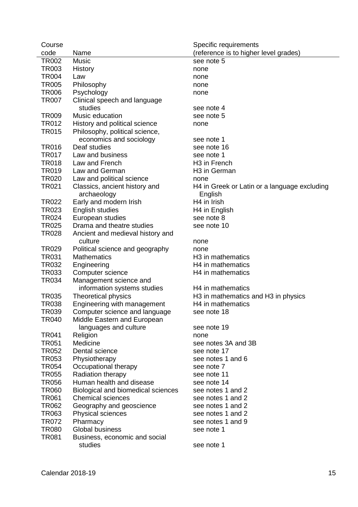| Course         |                                          | Specific requirements                        |
|----------------|------------------------------------------|----------------------------------------------|
| code           | Name                                     | (reference is to higher level grades)        |
| <b>TR002</b>   | Music                                    | see note 5                                   |
| TR003          | History                                  | none                                         |
| <b>TR004</b>   | Law                                      | none                                         |
| <b>TR005</b>   | Philosophy                               | none                                         |
| TR006          | Psychology                               | none                                         |
| <b>TR007</b>   | Clinical speech and language             |                                              |
|                | studies                                  | see note 4                                   |
| <b>TR009</b>   | Music education                          | see note 5                                   |
| TR012          | History and political science            | none                                         |
| <b>TR015</b>   | Philosophy, political science,           |                                              |
|                | economics and sociology                  | see note 1                                   |
| TR016          | Deaf studies                             | see note 16                                  |
| <b>TR017</b>   | Law and business                         | see note 1                                   |
| TR018          | Law and French                           | H <sub>3</sub> in French                     |
| TR019          | Law and German                           | H <sub>3</sub> in German                     |
| TR020          | Law and political science                | none                                         |
| TR021          | Classics, ancient history and            | H4 in Greek or Latin or a language excluding |
|                | archaeology                              | English                                      |
| TR022          | Early and modern Irish                   | H <sub>4</sub> in Irish                      |
| TR023          | English studies                          | H <sub>4</sub> in English                    |
| TR024          | European studies                         | see note 8                                   |
| <b>TR025</b>   | Drama and theatre studies                | see note 10                                  |
| <b>TR028</b>   | Ancient and medieval history and         |                                              |
|                | culture                                  | none                                         |
| TR029          | Political science and geography          | none                                         |
| TR031          | <b>Mathematics</b>                       | H <sub>3</sub> in mathematics                |
| TR032          | Engineering                              | H <sub>4</sub> in mathematics                |
| TR033          | Computer science                         | H <sub>4</sub> in mathematics                |
| TR034          | Management science and                   |                                              |
|                | information systems studies              | H <sub>4</sub> in mathematics                |
| <b>TR035</b>   | Theoretical physics                      | H3 in mathematics and H3 in physics          |
| <b>TR038</b>   | Engineering with management              | H <sub>4</sub> in mathematics                |
| TR039          | Computer science and language            | see note 18                                  |
| TR040          | Middle Eastern and European              |                                              |
|                | languages and culture                    | see note 19                                  |
| <b>TR041</b>   | Religion                                 | none                                         |
| TR051          | Medicine                                 | see notes 3A and 3B                          |
| TR052          | Dental science                           | see note 17                                  |
| TR053          | Physiotherapy                            | see notes 1 and 6                            |
| TR054          | Occupational therapy                     | see note 7                                   |
| TR055          | Radiation therapy                        | see note 11                                  |
| TR056          | Human health and disease                 | see note 14                                  |
| <b>TR060</b>   | Biological and biomedical sciences       | see notes 1 and 2                            |
| TR061          | <b>Chemical sciences</b>                 | see notes 1 and 2                            |
| TR062          | Geography and geoscience                 | see notes 1 and 2                            |
| TR063          | Physical sciences                        | see notes 1 and 2                            |
| TR072<br>TR080 | Pharmacy<br>Global business              | see notes 1 and 9<br>see note 1              |
| TR081          |                                          |                                              |
|                | Business, economic and social<br>studies | see note 1                                   |
|                |                                          |                                              |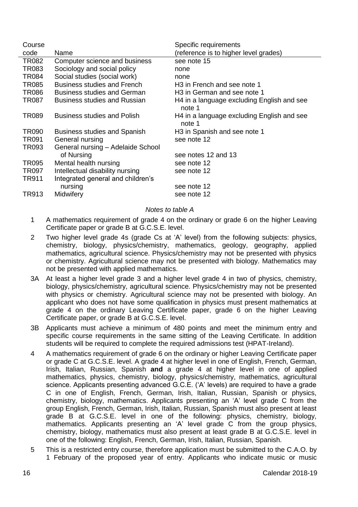| Course       |                                    | Specific requirements                                |
|--------------|------------------------------------|------------------------------------------------------|
| code         | Name                               | (reference is to higher level grades)                |
| TR082        | Computer science and business      | see note 15                                          |
| <b>TR083</b> | Sociology and social policy        | none                                                 |
| TR084        | Social studies (social work)       | none                                                 |
| <b>TR085</b> | Business studies and French        | H <sub>3</sub> in French and see note 1              |
| <b>TR086</b> | Business studies and German        | H <sub>3</sub> in German and see note 1              |
| TR087        | Business studies and Russian       | H4 in a language excluding English and see<br>note 1 |
| TR089        | <b>Business studies and Polish</b> | H4 in a language excluding English and see<br>note 1 |
| TR090        | Business studies and Spanish       | H3 in Spanish and see note 1                         |
| TR091        | General nursing                    | see note 12                                          |
| TR093        | General nursing - Adelaide School  |                                                      |
|              | of Nursing                         | see notes 12 and 13                                  |
| TR095        | Mental health nursing              | see note 12                                          |
| TR097        | Intellectual disability nursing    | see note 12                                          |
| TR911        | Integrated general and children's  |                                                      |
|              | nursing                            | see note 12                                          |
| TR913        | Midwifery                          | see note 12                                          |

# *Notes to table A*

- 1 A mathematics requirement of grade 4 on the ordinary or grade 6 on the higher Leaving Certificate paper or grade B at G.C.S.E. level.
- 2 Two higher level grade 4s (grade Cs at 'A' level) from the following subjects: physics, chemistry, biology, physics/chemistry, mathematics, geology, geography, applied mathematics, agricultural science. Physics/chemistry may not be presented with physics or chemistry. Agricultural science may not be presented with biology. Mathematics may not be presented with applied mathematics.
- 3A At least a higher level grade 3 and a higher level grade 4 in two of physics, chemistry, biology, physics/chemistry, agricultural science. Physics/chemistry may not be presented with physics or chemistry. Agricultural science may not be presented with biology. An applicant who does not have some qualification in physics must present mathematics at grade 4 on the ordinary Leaving Certificate paper, grade 6 on the higher Leaving Certificate paper, or grade B at G.C.S.E. level.
- 3B Applicants must achieve a minimum of 480 points and meet the minimum entry and specific course requirements in the same sitting of the Leaving Certificate. In addition students will be required to complete the required admissions test (HPAT-Ireland).
- 4 A mathematics requirement of grade 6 on the ordinary or higher Leaving Certificate paper or grade C at G.C.S.E. level. A grade 4 at higher level in one of English, French, German, Irish, Italian, Russian, Spanish **and** a grade 4 at higher level in one of applied mathematics, physics, chemistry, biology, physics/chemistry, mathematics, agricultural science. Applicants presenting advanced G.C.E. ('A' levels) are required to have a grade C in one of English, French, German, Irish, Italian, Russian, Spanish or physics, chemistry, biology, mathematics. Applicants presenting an 'A' level grade C from the group English, French, German, Irish, Italian, Russian, Spanish must also present at least grade B at G.C.S.E. level in one of the following: physics, chemistry, biology, mathematics. Applicants presenting an 'A' level grade C from the group physics, chemistry, biology, mathematics must also present at least grade B at G.C.S.E. level in one of the following: English, French, German, Irish, Italian, Russian, Spanish.
- 5 This is a restricted entry course, therefore application must be submitted to the C.A.O. by 1 February of the proposed year of entry. Applicants who indicate music or music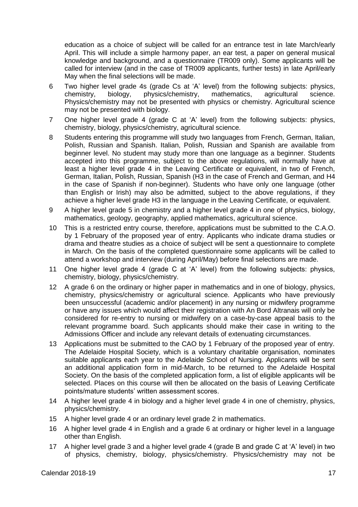education as a choice of subject will be called for an entrance test in late March/early April. This will include a simple harmony paper, an ear test, a paper on general musical knowledge and background, and a questionnaire (TR009 only). Some applicants will be called for interview (and in the case of TR009 applicants, further tests) in late April/early May when the final selections will be made.

- 6 Two higher level grade 4s (grade Cs at 'A' level) from the following subjects: physics, physics/chemistry, Physics/chemistry may not be presented with physics or chemistry. Agricultural science may not be presented with biology.
- 7 One higher level grade 4 (grade C at 'A' level) from the following subjects: physics, chemistry, biology, physics/chemistry, agricultural science.
- 8 Students entering this programme will study two languages from French, German, Italian, Polish, Russian and Spanish. Italian, Polish, Russian and Spanish are available from beginner level. No student may study more than one language as a beginner. Students accepted into this programme, subject to the above regulations, will normally have at least a higher level grade 4 in the Leaving Certificate or equivalent, in two of French, German, Italian, Polish, Russian, Spanish (H3 in the case of French and German, and H4 in the case of Spanish if non-beginner). Students who have only one language (other than English or Irish) may also be admitted, subject to the above regulations, if they achieve a higher level grade H3 in the language in the Leaving Certificate, or equivalent.
- 9 A higher level grade 5 in chemistry and a higher level grade 4 in one of physics, biology, mathematics, geology, geography, applied mathematics, agricultural science.
- 10 This is a restricted entry course, therefore, applications must be submitted to the C.A.O. by 1 February of the proposed year of entry. Applicants who indicate drama studies or drama and theatre studies as a choice of subject will be sent a questionnaire to complete in March. On the basis of the completed questionnaire some applicants will be called to attend a workshop and interview (during April/May) before final selections are made.
- 11 One higher level grade 4 (grade C at 'A' level) from the following subjects: physics, chemistry, biology, physics/chemistry.
- 12 A grade 6 on the ordinary or higher paper in mathematics and in one of biology, physics, chemistry, physics/chemistry or agricultural science. Applicants who have previously been unsuccessful (academic and/or placement) in any nursing or midwifery programme or have any issues which would affect their registration with An Bord Altranais will only be considered for re-entry to nursing or midwifery on a case-by-case appeal basis to the relevant programme board. Such applicants should make their case in writing to the Admissions Officer and include any relevant details of extenuating circumstances.
- 13 Applications must be submitted to the CAO by 1 February of the proposed year of entry. The Adelaide Hospital Society, which is a voluntary charitable organisation, nominates suitable applicants each year to the Adelaide School of Nursing. Applicants will be sent an additional application form in mid-March, to be returned to the Adelaide Hospital Society. On the basis of the completed application form, a list of eligible applicants will be selected. Places on this course will then be allocated on the basis of Leaving Certificate points/mature students' written assessment scores.
- 14 A higher level grade 4 in biology and a higher level grade 4 in one of chemistry, physics, physics/chemistry.
- 15 A higher level grade 4 or an ordinary level grade 2 in mathematics.
- 16 A higher level grade 4 in English and a grade 6 at ordinary or higher level in a language other than English.
- 17 A higher level grade 3 and a higher level grade 4 (grade B and grade C at 'A' level) in two of physics, chemistry, biology, physics/chemistry. Physics/chemistry may not be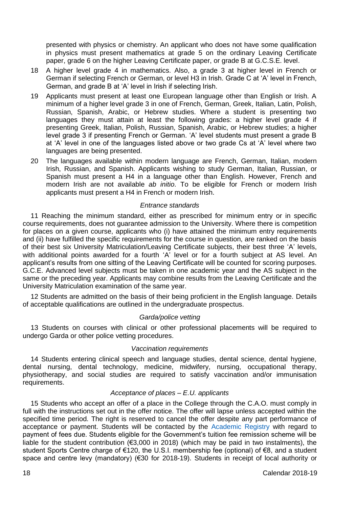presented with physics or chemistry. An applicant who does not have some qualification in physics must present mathematics at grade 5 on the ordinary Leaving Certificate paper, grade 6 on the higher Leaving Certificate paper, or grade B at G.C.S.E. level.

- 18 A higher level grade 4 in mathematics. Also, a grade 3 at higher level in French or German if selecting French or German, or level H3 in Irish. Grade C at 'A' level in French, German, and grade B at 'A' level in Irish if selecting Irish.
- 19 Applicants must present at least one European language other than English or Irish. A minimum of a higher level grade 3 in one of French, German, Greek, Italian, Latin, Polish, Russian, Spanish, Arabic, or Hebrew studies. Where a student is presenting two languages they must attain at least the following grades: a higher level grade 4 if presenting Greek, Italian, Polish, Russian, Spanish, Arabic, or Hebrew studies; a higher level grade 3 if presenting French or German. 'A' level students must present a grade B at 'A' level in one of the languages listed above or two grade Cs at 'A' level where two languages are being presented.
- 20 The languages available within modern language are French, German, Italian, modern Irish, Russian, and Spanish. Applicants wishing to study German, Italian, Russian, or Spanish must present a H4 in a language other than English. However, French and modern Irish are not available *ab initio*. To be eligible for French or modern Irish applicants must present a H4 in French or modern Irish.

# *Entrance standards*

11 Reaching the minimum standard, either as prescribed for minimum entry or in specific course requirements, does not guarantee admission to the University. Where there is competition for places on a given course, applicants who (i) have attained the minimum entry requirements and (ii) have fulfilled the specific requirements for the course in question, are ranked on the basis of their best six University Matriculation/Leaving Certificate subjects, their best three 'A' levels, with additional points awarded for a fourth 'A' level or for a fourth subject at AS level. An applicant's results from one sitting of the Leaving Certificate will be counted for scoring purposes. G.C.E. Advanced level subjects must be taken in one academic year and the AS subject in the same or the preceding year. Applicants may combine results from the Leaving Certificate and the University Matriculation examination of the same year.

12 Students are admitted on the basis of their being proficient in the English language. Details of acceptable qualifications are outlined in the undergraduate prospectus.

# *Garda/police vetting*

13 Students on courses with clinical or other professional placements will be required to undergo Garda or other police vetting procedures.

#### *Vaccination requirements*

14 Students entering clinical speech and language studies, dental science, dental hygiene, dental nursing, dental technology, medicine, midwifery, nursing, occupational therapy, physiotherapy, and social studies are required to satisfy vaccination and/or immunisation requirements.

# *Acceptance of places – E.U. applicants*

15 Students who accept an offer of a place in the College through the C.A.O. must comply in full with the instructions set out in the offer notice. The offer will lapse unless accepted within the specified time period. The right is reserved to cancel the offer despite any part performance of acceptance or payment. Students will be contacted by the [Academic Registry](https://www.tcd.ie/academicregistry/) with regard to payment of fees due. Students eligible for the Government's tuition fee remission scheme will be liable for the student contribution (€3,000 in 2018) (which may be paid in two instalments), the student Sports Centre charge of €120, the U.S.I. membership fee (optional) of €8, and a student space and centre levy (mandatory) (€30 for 2018-19). Students in receipt of local authority or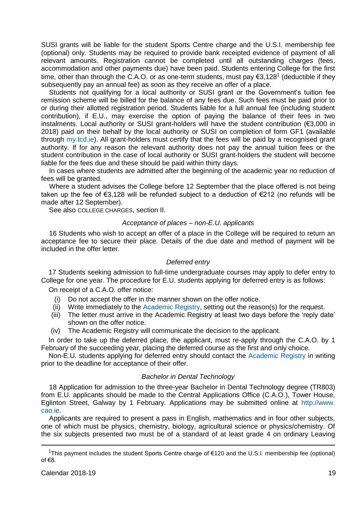SUSI grants will be liable for the student Sports Centre charge and the U.S.I. membership fee (optional) only. Students may be required to provide bank receipted evidence of payment of all relevant amounts. Registration cannot be completed until all outstanding charges (fees, accommodation and other payments due) have been paid. Students entering College for the first time, other than through the C.A.O. or as one-term students, must pay  $\epsilon$ 3,128<sup>1</sup> (deductible if they subsequently pay an annual fee) as soon as they receive an offer of a place.

Students not qualifying for a local authority or SUSI grant or the Government's tuition fee remission scheme will be billed for the balance of any fees due. Such fees must be paid prior to or during their allotted registration period. Students liable for a full annual fee (including student contribution), if E.U., may exercise the option of paying the balance of their fees in two instalments. Local authority or SUSI grant-holders will have the student contribution (€3,000 in 2018) paid on their behalf by the local authority or SUSI on completion of form GF1 (available through [my.tcd.ie\)](https://my.tcd.ie/urd/sits.urd/run/siw_lgn). All grant-holders must certify that the fees will be paid by a recognised grant authority. If for any reason the relevant authority does not pay the annual tuition fees or the student contribution in the case of local authority or SUSI grant-holders the student will become liable for the fees due and these should be paid within thirty days.

In cases where students are admitted after the beginning of the academic year no reduction of fees will be granted.

Where a student advises the College before 12 September that the place offered is not being taken up the fee of €3,128 will be refunded subject to a deduction of €212 (no refunds will be made after 12 September).

See also COLLEGE CHARGES, section II.

## *Acceptance of places – non-E.U. applicants*

16 Students who wish to accept an offer of a place in the College will be required to return an acceptance fee to secure their place. Details of the due date and method of payment will be included in the offer letter.

#### *Deferred entry*

17 Students seeking admission to full-time undergraduate courses may apply to defer entry to College for one year. The procedure for E.U. students applying for deferred entry is as follows:

On receipt of a C.A.O. offer notice:

- (i) Do not accept the offer in the manner shown on the offer notice.
- (ii) Write immediately to the [Academic Registry,](https://www.tcd.ie/academicregistry/) setting out the reason(s) for the request.
- (iii) The letter must arrive in the Academic Registry at least two days before the 'reply date' shown on the offer notice.
- (iv) The Academic Registry will communicate the decision to the applicant.

In order to take up the deferred place, the applicant, must re-apply through the C.A.O. by 1 February of the succeeding year, placing the deferred course as the first and only choice.

Non-E.U. students applying for deferred entry should contact the [Academic Registry](https://www.tcd.ie/academicregistry/) in writing prior to the deadline for acceptance of their offer.

#### *Bachelor in Dental Technology*

18 Application for admission to the three-year Bachelor in Dental Technology degree (TR803) from E.U. applicants should be made to the Central Applications Office (C.A.O.), Tower House, Eglinton Street, Galway by 1 February. Applications may be submitted online at [http://www.](http://www.cao.ie/)  [cao.ie.](http://www.cao.ie/)

Applicants are required to present a pass in English, mathematics and in four other subjects, one of which must be physics, chemistry, biology, agricultural science or physics/chemistry. Of the six subjects presented two must be of a standard of at least grade 4 on ordinary Leaving

j

<sup>1</sup>This payment includes the student Sports Centre charge of  $E$ 120 and the U.S.I. membership fee (optional) of €8.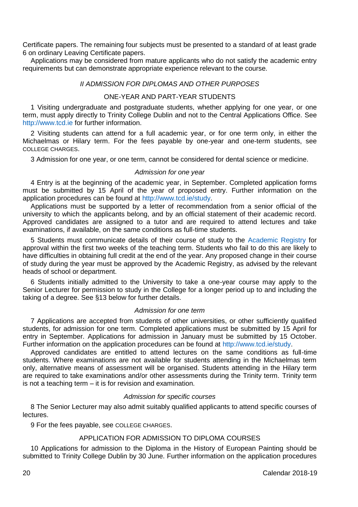Certificate papers. The remaining four subjects must be presented to a standard of at least grade 6 on ordinary Leaving Certificate papers.

Applications may be considered from mature applicants who do not satisfy the academic entry requirements but can demonstrate appropriate experience relevant to the course.

## *II ADMISSION FOR DIPLOMAS AND OTHER PURPOSES*

# ONE-YEAR AND PART-YEAR STUDENTS

1 Visiting undergraduate and postgraduate students, whether applying for one year, or one term, must apply directly to Trinity College Dublin and not to the Central Applications Office. See [http://www.tcd.ie](http://www.tcd.ie/) for further information.

2 Visiting students can attend for a full academic year, or for one term only, in either the Michaelmas or Hilary term. For the fees payable by one-year and one-term students, see COLLEGE CHARGES.

3 Admission for one year, or one term, cannot be considered for dental science or medicine.

#### *Admission for one year*

4 Entry is at the beginning of the academic year, in September. Completed application forms must be submitted by 15 April of the year of proposed entry. Further information on the application procedures can be found a[t http://www.tcd.ie/study.](http://www.tcd.ie/study)

Applications must be supported by a letter of recommendation from a senior official of the university to which the applicants belong, and by an official statement of their academic record. Approved candidates are assigned to a tutor and are required to attend lectures and take examinations, if available, on the same conditions as full-time students.

5 Students must communicate details of their course of study to the [Academic Registry](https://www.tcd.ie/academicregistry/) for approval within the first two weeks of the teaching term. Students who fail to do this are likely to have difficulties in obtaining full credit at the end of the year. Any proposed change in their course of study during the year must be approved by the Academic Registry, as advised by the relevant heads of school or department.

6 Students initially admitted to the University to take a one-year course may apply to the Senior Lecturer for permission to study in the College for a longer period up to and including the taking of a degree. See §13 below for further details.

#### *Admission for one term*

7 Applications are accepted from students of other universities, or other sufficiently qualified students, for admission for one term. Completed applications must be submitted by 15 April for entry in September. Applications for admission in January must be submitted by 15 October. Further information on the application procedures can be found at [http://www.tcd.ie/study.](http://www.tcd.ie/study)

Approved candidates are entitled to attend lectures on the same conditions as full-time students. Where examinations are not available for students attending in the Michaelmas term only, alternative means of assessment will be organised. Students attending in the Hilary term are required to take examinations and/or other assessments during the Trinity term. Trinity term is not a teaching term – it is for revision and examination.

# *Admission for specific courses*

8 The Senior Lecturer may also admit suitably qualified applicants to attend specific courses of lectures.

9 For the fees payable, see COLLEGE CHARGES.

# APPLICATION FOR ADMISSION TO DIPLOMA COURSES

10 Applications for admission to the Diploma in the History of European Painting should be submitted to Trinity College Dublin by 30 June. Further information on the application procedures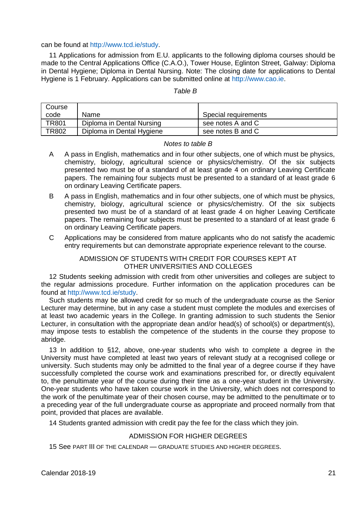can be found a[t http://www.tcd.ie/study.](http://www.tcd.ie/study)

11 Applications for admission from E.U. applicants to the following diploma courses should be made to the Central Applications Office (C.A.O.), Tower House, Eglinton Street, Galway: Diploma in Dental Hygiene; Diploma in Dental Nursing. Note: The closing date for applications to Dental Hygiene is 1 February. Applications can be submitted online at [http://www.cao.ie.](http://www.cao.ie/)

#### *Table B*

| Course       |                           |                      |
|--------------|---------------------------|----------------------|
| code         | Name                      | Special requirements |
| <b>TR801</b> | Diploma in Dental Nursing | see notes A and C    |
| <b>TR802</b> | Diploma in Dental Hygiene | see notes B and C    |

#### *Notes to table B*

- A A pass in English, mathematics and in four other subjects, one of which must be physics, chemistry, biology, agricultural science or physics/chemistry. Of the six subjects presented two must be of a standard of at least grade 4 on ordinary Leaving Certificate papers. The remaining four subjects must be presented to a standard of at least grade 6 on ordinary Leaving Certificate papers.
- B A pass in English, mathematics and in four other subjects, one of which must be physics, chemistry, biology, agricultural science or physics/chemistry. Of the six subjects presented two must be of a standard of at least grade 4 on higher Leaving Certificate papers. The remaining four subjects must be presented to a standard of at least grade 6 on ordinary Leaving Certificate papers.
- C Applications may be considered from mature applicants who do not satisfy the academic entry requirements but can demonstrate appropriate experience relevant to the course.

# ADMISSION OF STUDENTS WITH CREDIT FOR COURSES KEPT AT OTHER UNIVERSITIES AND COLLEGES

12 Students seeking admission with credit from other universities and colleges are subject to the regular admissions procedure. Further information on the application procedures can be found a[t http://www.tcd.ie/study.](http://www.tcd.ie/study) 

Such students may be allowed credit for so much of the undergraduate course as the Senior Lecturer may determine, but in any case a student must complete the modules and exercises of at least two academic years in the College. In granting admission to such students the Senior Lecturer, in consultation with the appropriate dean and/or head(s) of school(s) or department(s), may impose tests to establish the competence of the students in the course they propose to abridge.

13 In addition to §12, above, one-year students who wish to complete a degree in the University must have completed at least two years of relevant study at a recognised college or university. Such students may only be admitted to the final year of a degree course if they have successfully completed the course work and examinations prescribed for, or directly equivalent to, the penultimate year of the course during their time as a one-year student in the University. One-year students who have taken course work in the University, which does not correspond to the work of the penultimate year of their chosen course, may be admitted to the penultimate or to a preceding year of the full undergraduate course as appropriate and proceed normally from that point, provided that places are available.

14 Students granted admission with credit pay the fee for the class which they join.

# ADMISSION FOR HIGHER DEGREES

15 See PART III OF THE CALENDAR — GRADUATE STUDIES AND HIGHER DEGREES.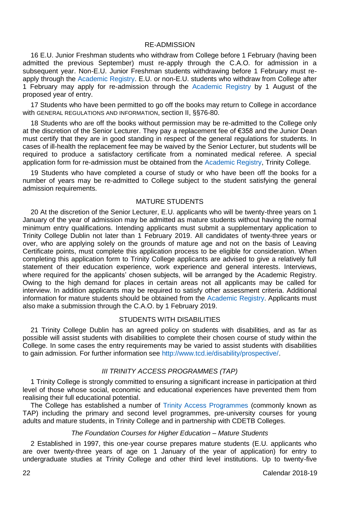## RE-ADMISSION

16 E.U. Junior Freshman students who withdraw from College before 1 February (having been admitted the previous September) must re-apply through the C.A.O. for admission in a subsequent year. Non-E.U. Junior Freshman students withdrawing before 1 February must reapply through the [Academic Registry.](https://www.tcd.ie/academicregistry/) E.U. or non-E.U. students who withdraw from College after 1 February may apply for re-admission through the [Academic Registry](https://www.tcd.ie/academicregistry/) by 1 August of the proposed year of entry.

17 Students who have been permitted to go off the books may return to College in accordance with GENERAL REGULATIONS AND INFORMATION, section II, §§76-80.

18 Students who are off the books without permission may be re-admitted to the College only at the discretion of the Senior Lecturer. They pay a replacement fee of €358 and the Junior Dean must certify that they are in good standing in respect of the general regulations for students. In cases of ill-health the replacement fee may be waived by the Senior Lecturer, but students will be required to produce a satisfactory certificate from a nominated medical referee. A special application form for re-admission must be obtained from the [Academic Registry,](https://www.tcd.ie/academicregistry/) Trinity College.

19 Students who have completed a course of study or who have been off the books for a number of years may be re-admitted to College subject to the student satisfying the general admission requirements.

# MATURE STUDENTS

20 At the discretion of the Senior Lecturer, E.U. applicants who will be twenty-three years on 1 January of the year of admission may be admitted as mature students without having the normal minimum entry qualifications. Intending applicants must submit a supplementary application to Trinity College Dublin not later than 1 February 2019. All candidates of twenty-three years or over, who are applying solely on the grounds of mature age and not on the basis of Leaving Certificate points, must complete this application process to be eligible for consideration. When completing this application form to Trinity College applicants are advised to give a relatively full statement of their education experience, work experience and general interests. Interviews, where required for the applicants' chosen subjects, will be arranged by the Academic Registry. Owing to the high demand for places in certain areas not all applicants may be called for interview. In addition applicants may be required to satisfy other assessment criteria. Additional information for mature students should be obtained from the [Academic Registry.](https://www.tcd.ie/academicregistry/) Applicants must also make a submission through the C.A.O. by 1 February 2019.

## STUDENTS WITH DISABILITIES

21 Trinity College Dublin has an agreed policy on students with disabilities, and as far as possible will assist students with disabilities to complete their chosen course of study within the College. In some cases the entry requirements may be varied to assist students with disabilities to gain admission. For further information see [http://www.tcd.ie/disability/prospective/.](http://www.tcd.ie/disability/prospective/)

## *III TRINITY ACCESS PROGRAMMES (TAP)*

1 Trinity College is strongly committed to ensuring a significant increase in participation at third level of those whose social, economic and educational experiences have prevented them from realising their full educational potential.

The College has established a number of [Trinity Access Programmes](https://www.tcd.ie/Trinity_Access/) (commonly known as TAP) including the primary and second level programmes, pre-university courses for young adults and mature students, in Trinity College and in partnership with CDETB Colleges.

# *The Foundation Courses for Higher Education – Mature Students*

2 Established in 1997, this one-year course prepares mature students (E.U. applicants who are over twenty-three years of age on 1 January of the year of application) for entry to undergraduate studies at Trinity College and other third level institutions. Up to twenty-five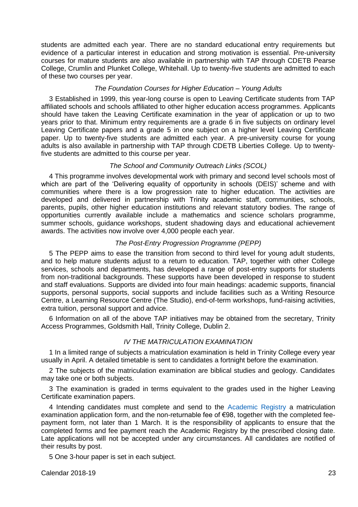students are admitted each year. There are no standard educational entry requirements but evidence of a particular interest in education and strong motivation is essential. Pre-university courses for mature students are also available in partnership with TAP through CDETB Pearse College, Crumlin and Plunket College, Whitehall. Up to twenty-five students are admitted to each of these two courses per year.

# *The Foundation Courses for Higher Education* – *Young Adults*

3 Established in 1999, this year-long course is open to Leaving Certificate students from TAP affiliated schools and schools affiliated to other higher education access programmes. Applicants should have taken the Leaving Certificate examination in the year of application or up to two years prior to that. Minimum entry requirements are a grade 6 in five subjects on ordinary level Leaving Certificate papers and a grade 5 in one subject on a higher level Leaving Certificate paper. Up to twenty-five students are admitted each year. A pre-university course for young adults is also available in partnership with TAP through CDETB Liberties College. Up to twentyfive students are admitted to this course per year.

# *The School and Community Outreach Links (SCOL)*

4 This programme involves developmental work with primary and second level schools most of which are part of the 'Delivering equality of opportunity in schools (DEIS)' scheme and with communities where there is a low progression rate to higher education. The activities are developed and delivered in partnership with Trinity academic staff, communities, schools, parents, pupils, other higher education institutions and relevant statutory bodies. The range of opportunities currently available include a mathematics and science scholars programme, summer schools, guidance workshops, student shadowing days and educational achievement awards. The activities now involve over 4,000 people each year.

#### *The Post-Entry Progression Programme (PEPP)*

5 The PEPP aims to ease the transition from second to third level for young adult students, and to help mature students adjust to a return to education. TAP, together with other College services, schools and departments, has developed a range of post-entry supports for students from non-traditional backgrounds. These supports have been developed in response to student and staff evaluations. Supports are divided into four main headings: academic supports, financial supports, personal supports, social supports and include facilities such as a Writing Resource Centre, a Learning Resource Centre (The Studio), end-of-term workshops, fund-raising activities, extra tuition, personal support and advice.

6 Information on all of the above TAP initiatives may be obtained from the secretary, Trinity Access Programmes, Goldsmith Hall, Trinity College, Dublin 2.

# *IV THE MATRICULATION EXAMINATION*

1 In a limited range of subjects a matriculation examination is held in Trinity College every year usually in April. A detailed timetable is sent to candidates a fortnight before the examination.

2 The subjects of the matriculation examination are biblical studies and geology. Candidates may take one or both subjects.

3 The examination is graded in terms equivalent to the grades used in the higher Leaving Certificate examination papers.

4 Intending candidates must complete and send to the [Academic Registry](https://www.tcd.ie/academicregistry/) a matriculation examination application form, and the non-returnable fee of €98, together with the completed feepayment form, not later than 1 March. It is the responsibility of applicants to ensure that the completed forms and fee payment reach the Academic Registry by the prescribed closing date. Late applications will not be accepted under any circumstances. All candidates are notified of their results by post.

5 One 3-hour paper is set in each subject.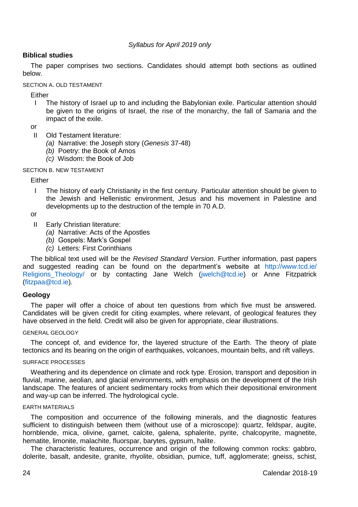## *Syllabus for April 2019 only*

# **Biblical studies**

The paper comprises two sections. Candidates should attempt both sections as outlined below.

SECTION A. OLD TESTAMENT

Either

 I The history of Israel up to and including the Babylonian exile. Particular attention should be given to the origins of Israel, the rise of the monarchy, the fall of Samaria and the impact of the exile.

or

- II Old Testament literature:
	- *(a)* Narrative: the Joseph story (*Genesis* 37-48)
	- *(b)* Poetry: the Book of Amos
	- *(c)* Wisdom: the Book of Job

#### SECTION B. NEW TESTAMENT

Either

 I The history of early Christianity in the first century. Particular attention should be given to the Jewish and Hellenistic environment, Jesus and his movement in Palestine and developments up to the destruction of the temple in 70 A.D.

or

- II Early Christian literature:
	- *(a)* Narrative: Acts of the Apostles
	- *(b)* Gospels: Mark's Gospel
	- *(c)* Letters: First Corinthians

The biblical text used will be the *Revised Standard Version*. Further information, past papers and suggested reading can be found on the department's website at [http://www.tcd.ie/](http://www.tcd.ie/Religions_Theology/)  [Religions\\_Theology/](http://www.tcd.ie/Religions_Theology/) or by contacting Jane Welch [\(jwelch@tcd.ie\)](mailto:jwelch@tcd.ie) or Anne Fitzpatrick [\(fitzpaa@tcd.ie\)](mailto:fitzpaa@tcd.ie).

#### **Geology**

The paper will offer a choice of about ten questions from which five must be answered. Candidates will be given credit for citing examples, where relevant, of geological features they have observed in the field. Credit will also be given for appropriate, clear illustrations.

#### GENERAL GEOLOGY

The concept of, and evidence for, the layered structure of the Earth. The theory of plate tectonics and its bearing on the origin of earthquakes, volcanoes, mountain belts, and rift valleys.

#### SURFACE PROCESSES

Weathering and its dependence on climate and rock type. Erosion, transport and deposition in fluvial, marine, aeolian, and glacial environments, with emphasis on the development of the Irish landscape. The features of ancient sedimentary rocks from which their depositional environment and way-up can be inferred. The hydrological cycle.

#### EARTH MATERIALS

The composition and occurrence of the following minerals, and the diagnostic features sufficient to distinguish between them (without use of a microscope): quartz, feldspar, augite, hornblende, mica, olivine, garnet, calcite, galena, sphalerite, pyrite, chalcopyrite, magnetite, hematite, limonite, malachite, fluorspar, barytes, gypsum, halite.

The characteristic features, occurrence and origin of the following common rocks: gabbro, dolerite, basalt, andesite, granite, rhyolite, obsidian, pumice, tuff, agglomerate; gneiss, schist,